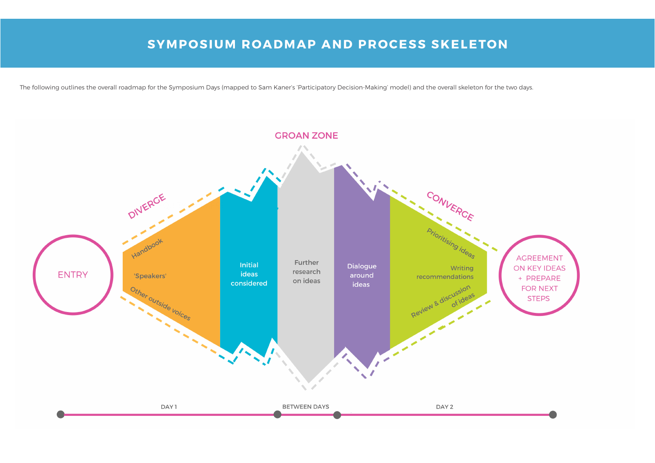# **SYMPOSIUM ROADMAP AND PROCESS SKELETON**







The following outlines the overall roadmap for the Symposium Days (mapped to Sam Kaner's 'Participatory Decision-Making' model) and the overall skeleton for the two days.